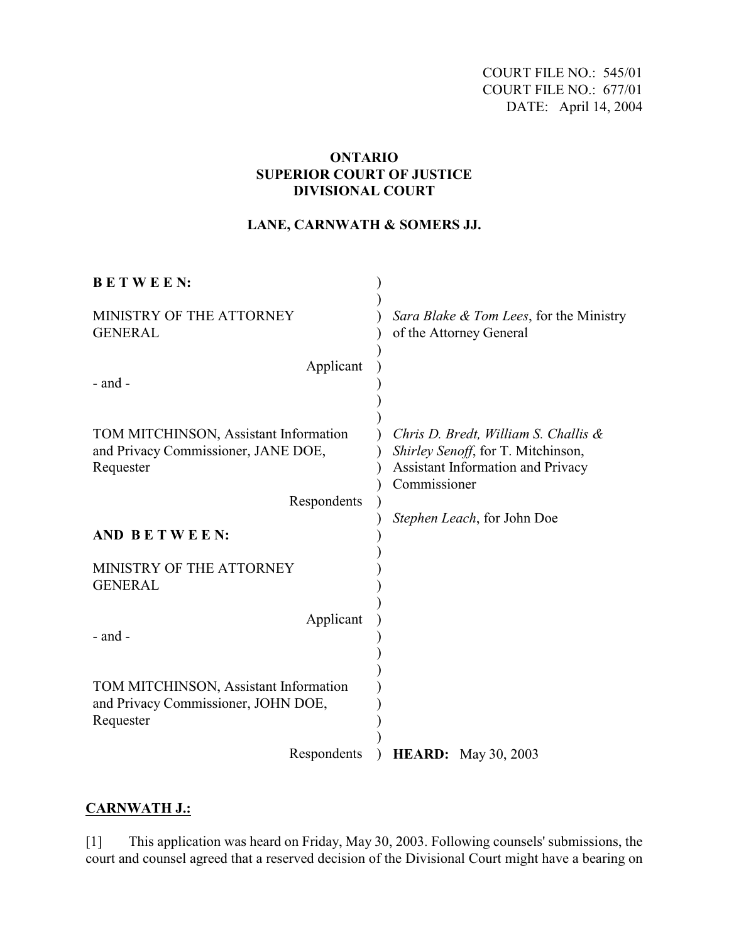COURT FILE NO.: 545/01 COURT FILE NO.: 677/01 DATE: April 14, 2004

## **ONTARIO SUPERIOR COURT OF JUSTICE DIVISIONAL COURT**

## **LANE, CARNWATH & SOMERS JJ.**

| <b>BETWEEN:</b>                                                                           |                                                                                                                                    |
|-------------------------------------------------------------------------------------------|------------------------------------------------------------------------------------------------------------------------------------|
| MINISTRY OF THE ATTORNEY<br><b>GENERAL</b>                                                | Sara Blake & Tom Lees, for the Ministry<br>of the Attorney General                                                                 |
| Applicant<br>$-$ and $-$                                                                  |                                                                                                                                    |
| TOM MITCHINSON, Assistant Information<br>and Privacy Commissioner, JANE DOE,<br>Requester | Chris D. Bredt, William S. Challis $\&$<br>Shirley Senoff, for T. Mitchinson,<br>Assistant Information and Privacy<br>Commissioner |
| Respondents                                                                               | Stephen Leach, for John Doe                                                                                                        |
| AND BETWEEN:                                                                              |                                                                                                                                    |
| MINISTRY OF THE ATTORNEY<br><b>GENERAL</b>                                                |                                                                                                                                    |
| Applicant<br>$-$ and $-$                                                                  |                                                                                                                                    |
| TOM MITCHINSON, Assistant Information<br>and Privacy Commissioner, JOHN DOE,<br>Requester |                                                                                                                                    |
| Respondents                                                                               | <b>HEARD:</b> May 30, 2003                                                                                                         |

# **CARNWATH J.:**

[1] This application was heard on Friday, May 30, 2003. Following counsels' submissions, the court and counsel agreed that a reserved decision of the Divisional Court might have a bearing on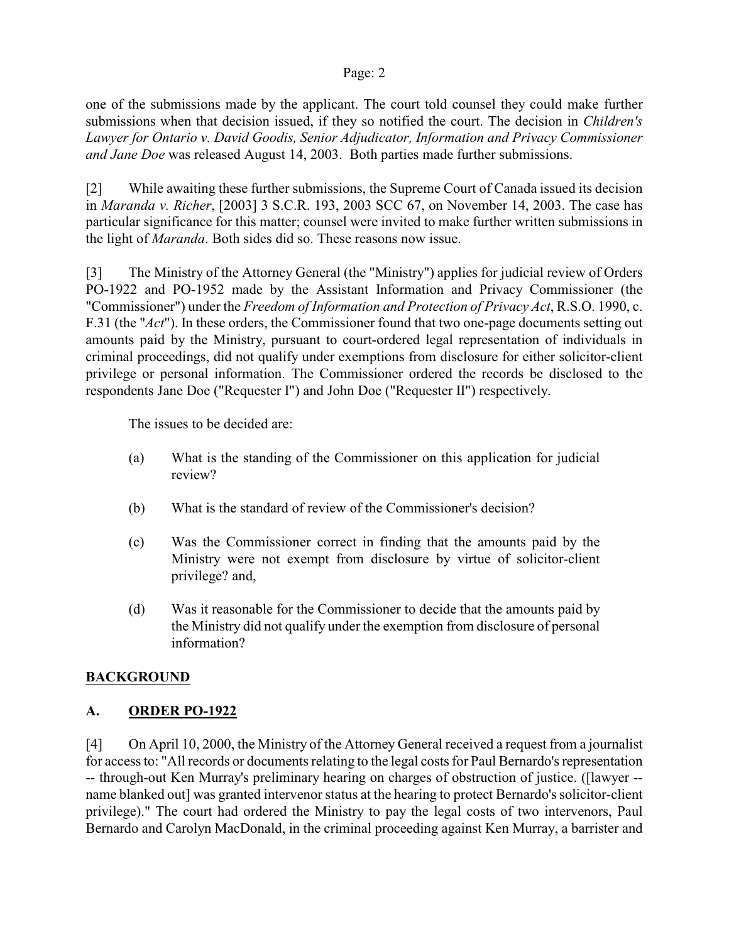one of the submissions made by the applicant. The court told counsel they could make further submissions when that decision issued, if they so notified the court. The decision in *Children's Lawyer for Ontario v. David Goodis, Senior Adjudicator, Information and Privacy Commissioner and Jane Doe* was released August 14, 2003. Both parties made further submissions.

[2] While awaiting these further submissions, the Supreme Court of Canada issued its decision in *Maranda v. Richer*, [2003] 3 S.C.R. 193, 2003 SCC 67, on November 14, 2003. The case has particular significance for this matter; counsel were invited to make further written submissions in the light of *Maranda*. Both sides did so. These reasons now issue.

[3] The Ministry of the Attorney General (the "Ministry") applies for judicial review of Orders PO-1922 and PO-1952 made by the Assistant Information and Privacy Commissioner (the "Commissioner") under the *Freedom of Information and Protection of Privacy Act*, R.S.O. 1990, c. F.31 (the "*Act*"). In these orders, the Commissioner found that two one-page documents setting out amounts paid by the Ministry, pursuant to court-ordered legal representation of individuals in criminal proceedings, did not qualify under exemptions from disclosure for either solicitor-client privilege or personal information. The Commissioner ordered the records be disclosed to the respondents Jane Doe ("Requester I") and John Doe ("Requester II") respectively.

The issues to be decided are:

- (a) What is the standing of the Commissioner on this application for judicial review?
- (b) What is the standard of review of the Commissioner's decision?
- (c) Was the Commissioner correct in finding that the amounts paid by the Ministry were not exempt from disclosure by virtue of solicitor-client privilege? and,
- (d) Was it reasonable for the Commissioner to decide that the amounts paid by the Ministry did not qualify under the exemption from disclosure of personal information?

# **BACKGROUND**

# **A. ORDER PO-1922**

[4] On April 10, 2000, the Ministry of the Attorney General received a request from a journalist for access to: "All records or documents relating to the legal costs for Paul Bernardo's representation -- through-out Ken Murray's preliminary hearing on charges of obstruction of justice. ([lawyer - name blanked out] was granted intervenor status at the hearing to protect Bernardo's solicitor-client privilege)." The court had ordered the Ministry to pay the legal costs of two intervenors, Paul Bernardo and Carolyn MacDonald, in the criminal proceeding against Ken Murray, a barrister and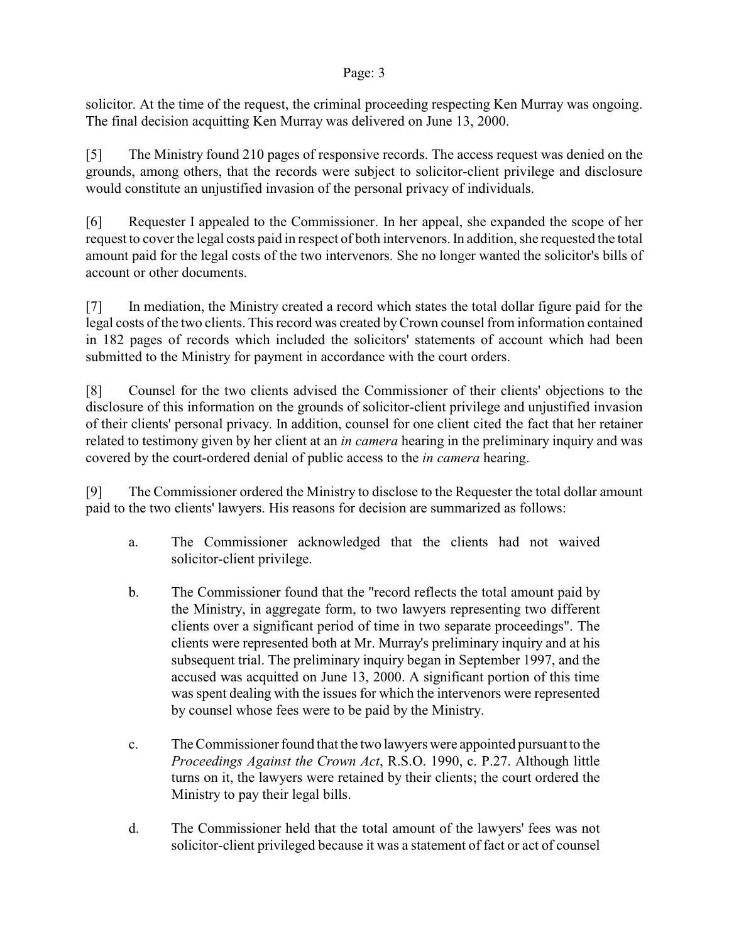solicitor. At the time of the request, the criminal proceeding respecting Ken Murray was ongoing. The final decision acquitting Ken Murray was delivered on June 13, 2000.

[5] The Ministry found 210 pages of responsive records. The access request was denied on the grounds, among others, that the records were subject to solicitor-client privilege and disclosure would constitute an unjustified invasion of the personal privacy of individuals.

[6] Requester I appealed to the Commissioner. In her appeal, she expanded the scope of her request to coverthe legal costs paid in respect of both intervenors. In addition, she requested the total amount paid for the legal costs of the two intervenors. She no longer wanted the solicitor's bills of account or other documents.

[7] In mediation, the Ministry created a record which states the total dollar figure paid for the legal costs of the two clients. This record was created by Crown counsel from information contained in 182 pages of records which included the solicitors' statements of account which had been submitted to the Ministry for payment in accordance with the court orders.

[8] Counsel for the two clients advised the Commissioner of their clients' objections to the disclosure of this information on the grounds of solicitor-client privilege and unjustified invasion of their clients' personal privacy. In addition, counsel for one client cited the fact that her retainer related to testimony given by her client at an *in camera* hearing in the preliminary inquiry and was covered by the court-ordered denial of public access to the *in camera* hearing.

[9] The Commissioner ordered the Ministry to disclose to the Requester the total dollar amount paid to the two clients' lawyers. His reasons for decision are summarized as follows:

- a. The Commissioner acknowledged that the clients had not waived solicitor-client privilege.
- b. The Commissioner found that the "record reflects the total amount paid by the Ministry, in aggregate form, to two lawyers representing two different clients over a significant period of time in two separate proceedings". The clients were represented both at Mr. Murray's preliminary inquiry and at his subsequent trial. The preliminary inquiry began in September 1997, and the accused was acquitted on June 13, 2000. A significant portion of this time was spent dealing with the issues for which the intervenors were represented by counsel whose fees were to be paid by the Ministry.
- c. The Commissioner found that the two lawyers were appointed pursuant to the *Proceedings Against the Crown Act*, R.S.O. 1990, c. P.27. Although little turns on it, the lawyers were retained by their clients; the court ordered the Ministry to pay their legal bills.
- d. The Commissioner held that the total amount of the lawyers' fees was not solicitor-client privileged because it was a statement of fact or act of counsel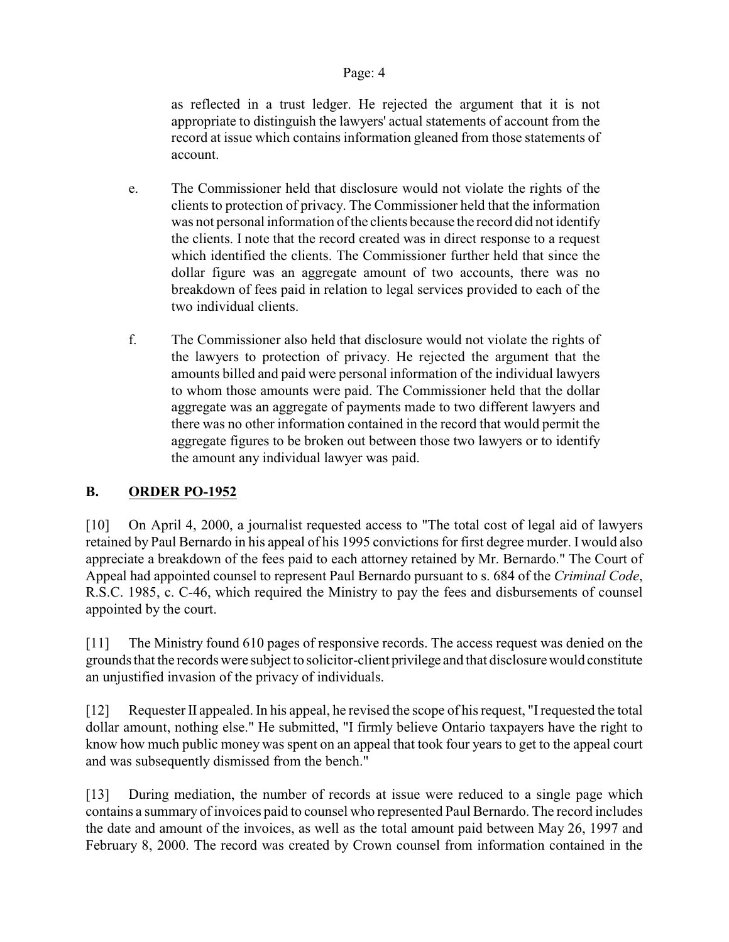as reflected in a trust ledger. He rejected the argument that it is not appropriate to distinguish the lawyers' actual statements of account from the record at issue which contains information gleaned from those statements of account.

- e. The Commissioner held that disclosure would not violate the rights of the clients to protection of privacy. The Commissioner held that the information was not personal information of the clients because the record did not identify the clients. I note that the record created was in direct response to a request which identified the clients. The Commissioner further held that since the dollar figure was an aggregate amount of two accounts, there was no breakdown of fees paid in relation to legal services provided to each of the two individual clients.
- f. The Commissioner also held that disclosure would not violate the rights of the lawyers to protection of privacy. He rejected the argument that the amounts billed and paid were personal information of the individual lawyers to whom those amounts were paid. The Commissioner held that the dollar aggregate was an aggregate of payments made to two different lawyers and there was no other information contained in the record that would permit the aggregate figures to be broken out between those two lawyers or to identify the amount any individual lawyer was paid.

# **B. ORDER PO-1952**

[10] On April 4, 2000, a journalist requested access to "The total cost of legal aid of lawyers retained by Paul Bernardo in his appeal of his 1995 convictionsfor first degree murder. I would also appreciate a breakdown of the fees paid to each attorney retained by Mr. Bernardo." The Court of Appeal had appointed counsel to represent Paul Bernardo pursuant to s. 684 of the *Criminal Code*, R.S.C. 1985, c. C-46, which required the Ministry to pay the fees and disbursements of counsel appointed by the court.

[11] The Ministry found 610 pages of responsive records. The access request was denied on the grounds that the records were subject to solicitor-client privilege and that disclosure would constitute an unjustified invasion of the privacy of individuals.

[12] Requester II appealed. In his appeal, he revised the scope of his request, "I requested the total dollar amount, nothing else." He submitted, "I firmly believe Ontario taxpayers have the right to know how much public money was spent on an appeal that took four years to get to the appeal court and was subsequently dismissed from the bench."

[13] During mediation, the number of records at issue were reduced to a single page which contains a summary of invoices paid to counsel who represented Paul Bernardo. The record includes the date and amount of the invoices, as well as the total amount paid between May 26, 1997 and February 8, 2000. The record was created by Crown counsel from information contained in the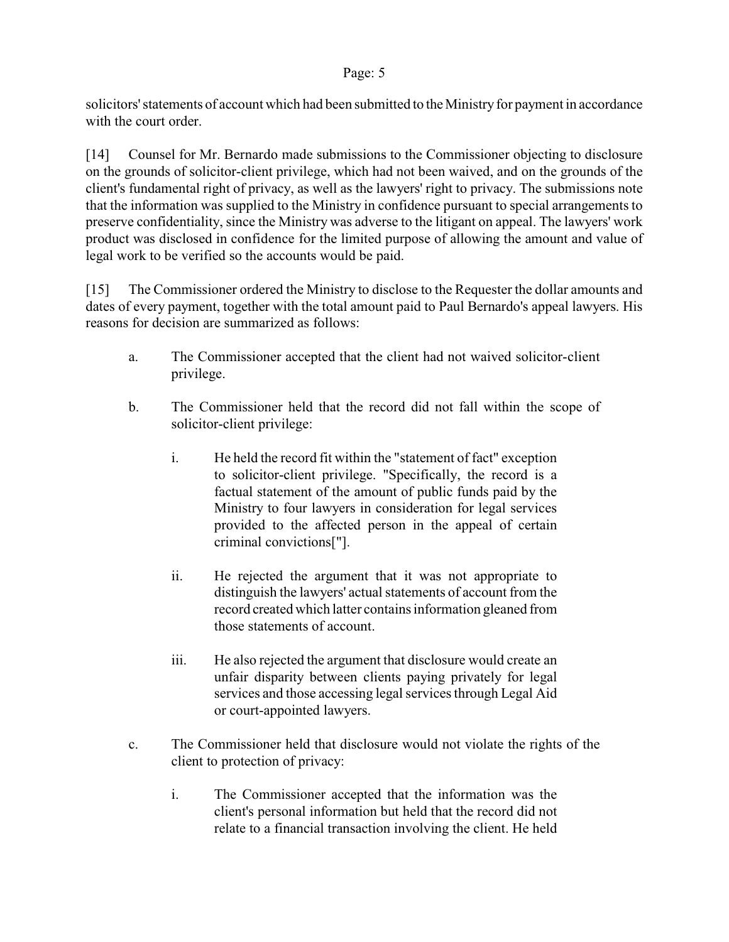solicitors' statements of account which had been submitted to the Ministry for payment in accordance with the court order.

[14] Counsel for Mr. Bernardo made submissions to the Commissioner objecting to disclosure on the grounds of solicitor-client privilege, which had not been waived, and on the grounds of the client's fundamental right of privacy, as well as the lawyers' right to privacy. The submissions note that the information was supplied to the Ministry in confidence pursuant to special arrangements to preserve confidentiality, since the Ministry was adverse to the litigant on appeal. The lawyers' work product was disclosed in confidence for the limited purpose of allowing the amount and value of legal work to be verified so the accounts would be paid.

[15] The Commissioner ordered the Ministry to disclose to the Requester the dollar amounts and dates of every payment, together with the total amount paid to Paul Bernardo's appeal lawyers. His reasons for decision are summarized as follows:

- a. The Commissioner accepted that the client had not waived solicitor-client privilege.
- b. The Commissioner held that the record did not fall within the scope of solicitor-client privilege:
	- i. He held the record fit within the "statement of fact" exception to solicitor-client privilege. "Specifically, the record is a factual statement of the amount of public funds paid by the Ministry to four lawyers in consideration for legal services provided to the affected person in the appeal of certain criminal convictions["].
	- ii. He rejected the argument that it was not appropriate to distinguish the lawyers' actual statements of account from the record created which latter contains information gleaned from those statements of account.
	- iii. He also rejected the argument that disclosure would create an unfair disparity between clients paying privately for legal services and those accessing legal services through Legal Aid or court-appointed lawyers.
- c. The Commissioner held that disclosure would not violate the rights of the client to protection of privacy:
	- i. The Commissioner accepted that the information was the client's personal information but held that the record did not relate to a financial transaction involving the client. He held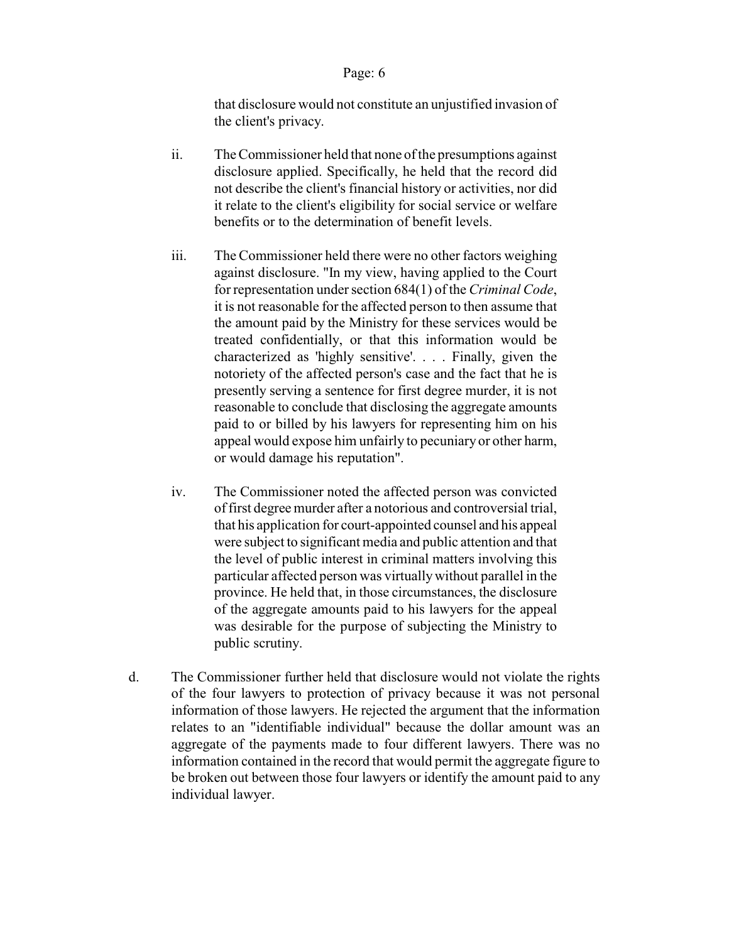that disclosure would not constitute an unjustified invasion of the client's privacy.

- ii. The Commissioner held that none of the presumptions against disclosure applied. Specifically, he held that the record did not describe the client's financial history or activities, nor did it relate to the client's eligibility for social service or welfare benefits or to the determination of benefit levels.
- iii. The Commissioner held there were no other factors weighing against disclosure. "In my view, having applied to the Court for representation under section 684(1) of the *Criminal Code*, it is not reasonable for the affected person to then assume that the amount paid by the Ministry for these services would be treated confidentially, or that this information would be characterized as 'highly sensitive'. . . . Finally, given the notoriety of the affected person's case and the fact that he is presently serving a sentence for first degree murder, it is not reasonable to conclude that disclosing the aggregate amounts paid to or billed by his lawyers for representing him on his appeal would expose him unfairly to pecuniary or other harm, or would damage his reputation".
- iv. The Commissioner noted the affected person was convicted offirst degree murder after a notorious and controversial trial, that his application for court-appointed counsel and his appeal were subject to significant media and public attention and that the level of public interest in criminal matters involving this particular affected person was virtually without parallel in the province. He held that, in those circumstances, the disclosure of the aggregate amounts paid to his lawyers for the appeal was desirable for the purpose of subjecting the Ministry to public scrutiny.
- d. The Commissioner further held that disclosure would not violate the rights of the four lawyers to protection of privacy because it was not personal information of those lawyers. He rejected the argument that the information relates to an "identifiable individual" because the dollar amount was an aggregate of the payments made to four different lawyers. There was no information contained in the record that would permit the aggregate figure to be broken out between those four lawyers or identify the amount paid to any individual lawyer.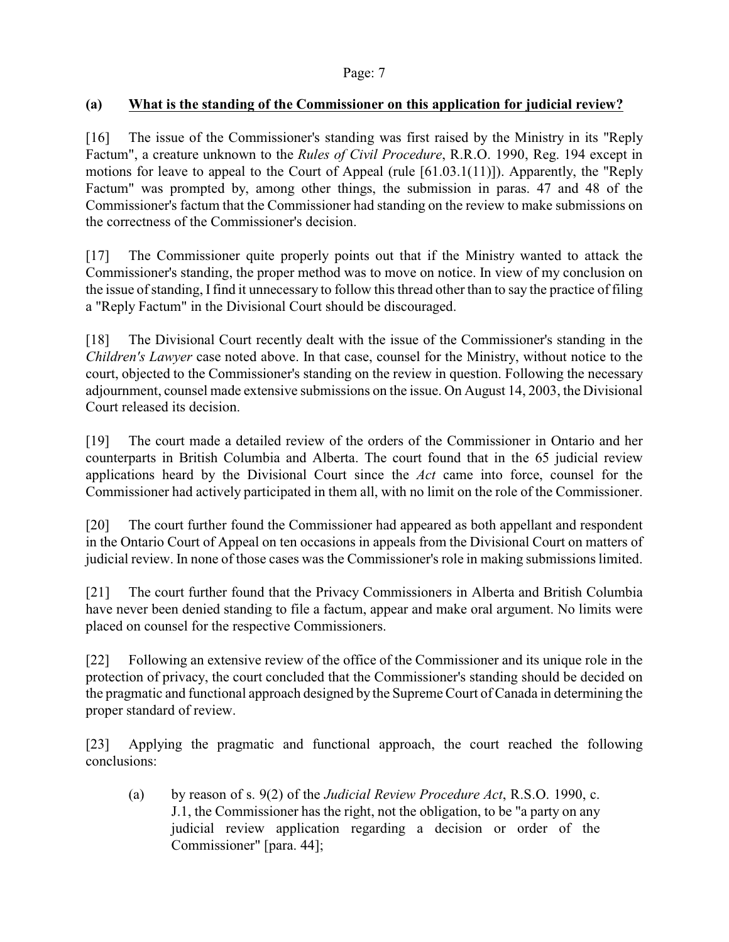# **(a) What is the standing of the Commissioner on this application for judicial review?**

[16] The issue of the Commissioner's standing was first raised by the Ministry in its "Reply Factum", a creature unknown to the *Rules of Civil Procedure*, R.R.O. 1990, Reg. 194 except in motions for leave to appeal to the Court of Appeal (rule [61.03.1(11)]). Apparently, the "Reply Factum" was prompted by, among other things, the submission in paras. 47 and 48 of the Commissioner's factum that the Commissioner had standing on the review to make submissions on the correctness of the Commissioner's decision.

[17] The Commissioner quite properly points out that if the Ministry wanted to attack the Commissioner's standing, the proper method was to move on notice. In view of my conclusion on the issue of standing, Ifind it unnecessary to follow this thread other than to say the practice of filing a "Reply Factum" in the Divisional Court should be discouraged.

[18] The Divisional Court recently dealt with the issue of the Commissioner's standing in the *Children's Lawyer* case noted above. In that case, counsel for the Ministry, without notice to the court, objected to the Commissioner's standing on the review in question. Following the necessary adjournment, counsel made extensive submissions on the issue. On August 14, 2003, the Divisional Court released its decision.

[19] The court made a detailed review of the orders of the Commissioner in Ontario and her counterparts in British Columbia and Alberta. The court found that in the 65 judicial review applications heard by the Divisional Court since the *Act* came into force, counsel for the Commissioner had actively participated in them all, with no limit on the role of the Commissioner.

[20] The court further found the Commissioner had appeared as both appellant and respondent in the Ontario Court of Appeal on ten occasions in appeals from the Divisional Court on matters of judicial review. In none of those cases was the Commissioner's role in making submissions limited.

[21] The court further found that the Privacy Commissioners in Alberta and British Columbia have never been denied standing to file a factum, appear and make oral argument. No limits were placed on counsel for the respective Commissioners.

[22] Following an extensive review of the office of the Commissioner and its unique role in the protection of privacy, the court concluded that the Commissioner's standing should be decided on the pragmatic and functional approach designed by the Supreme Court of Canada in determining the proper standard of review.

[23] Applying the pragmatic and functional approach, the court reached the following conclusions:

(a) by reason of s. 9(2) of the *Judicial Review Procedure Act*, R.S.O. 1990, c. J.1, the Commissioner has the right, not the obligation, to be "a party on any judicial review application regarding a decision or order of the Commissioner" [para. 44];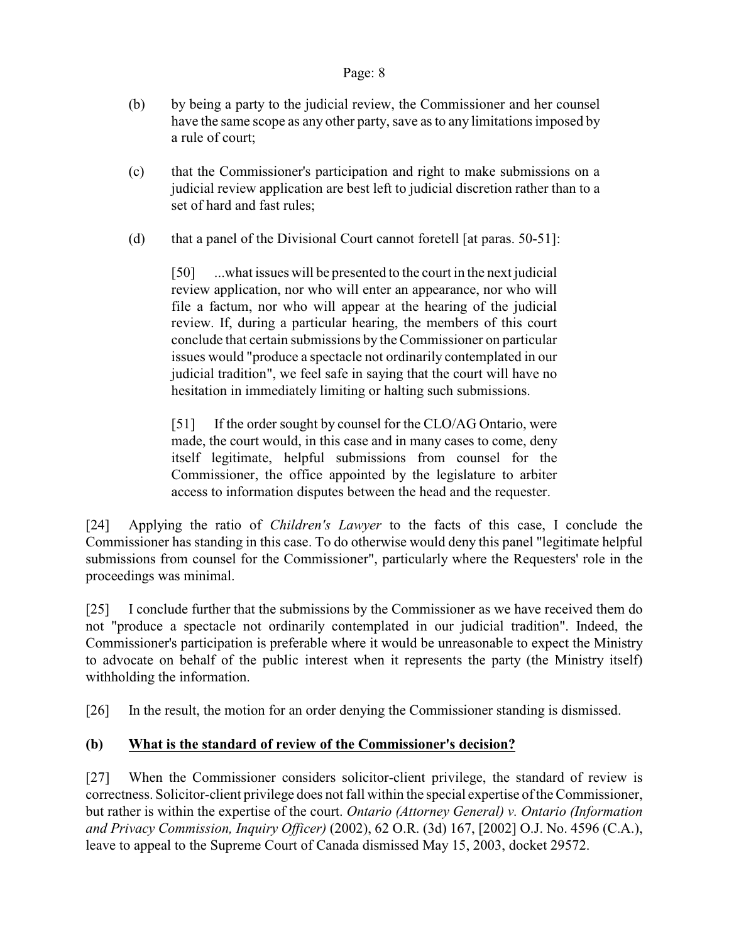- (b) by being a party to the judicial review, the Commissioner and her counsel have the same scope as any other party, save as to any limitations imposed by a rule of court;
- (c) that the Commissioner's participation and right to make submissions on a judicial review application are best left to judicial discretion rather than to a set of hard and fast rules;
- (d) that a panel of the Divisional Court cannot foretell [at paras. 50-51]:

[50] ...what issues will be presented to the court in the next judicial review application, nor who will enter an appearance, nor who will file a factum, nor who will appear at the hearing of the judicial review. If, during a particular hearing, the members of this court conclude that certain submissions by the Commissioner on particular issues would "produce a spectacle not ordinarily contemplated in our judicial tradition", we feel safe in saying that the court will have no hesitation in immediately limiting or halting such submissions.

[51] If the order sought by counsel for the CLO/AG Ontario, were made, the court would, in this case and in many cases to come, deny itself legitimate, helpful submissions from counsel for the Commissioner, the office appointed by the legislature to arbiter access to information disputes between the head and the requester.

[24] Applying the ratio of *Children's Lawyer* to the facts of this case, I conclude the Commissioner has standing in this case. To do otherwise would deny this panel "legitimate helpful submissions from counsel for the Commissioner", particularly where the Requesters' role in the proceedings was minimal.

[25] I conclude further that the submissions by the Commissioner as we have received them do not "produce a spectacle not ordinarily contemplated in our judicial tradition". Indeed, the Commissioner's participation is preferable where it would be unreasonable to expect the Ministry to advocate on behalf of the public interest when it represents the party (the Ministry itself) withholding the information.

[26] In the result, the motion for an order denying the Commissioner standing is dismissed.

# **(b) What is the standard of review of the Commissioner's decision?**

[27] When the Commissioner considers solicitor-client privilege, the standard of review is correctness. Solicitor-client privilege does not fall within the special expertise of the Commissioner, but rather is within the expertise of the court. *Ontario (Attorney General) v. Ontario (Information and Privacy Commission, Inquiry Officer)* (2002), 62 O.R. (3d) 167, [2002] O.J. No. 4596 (C.A.), leave to appeal to the Supreme Court of Canada dismissed May 15, 2003, docket 29572.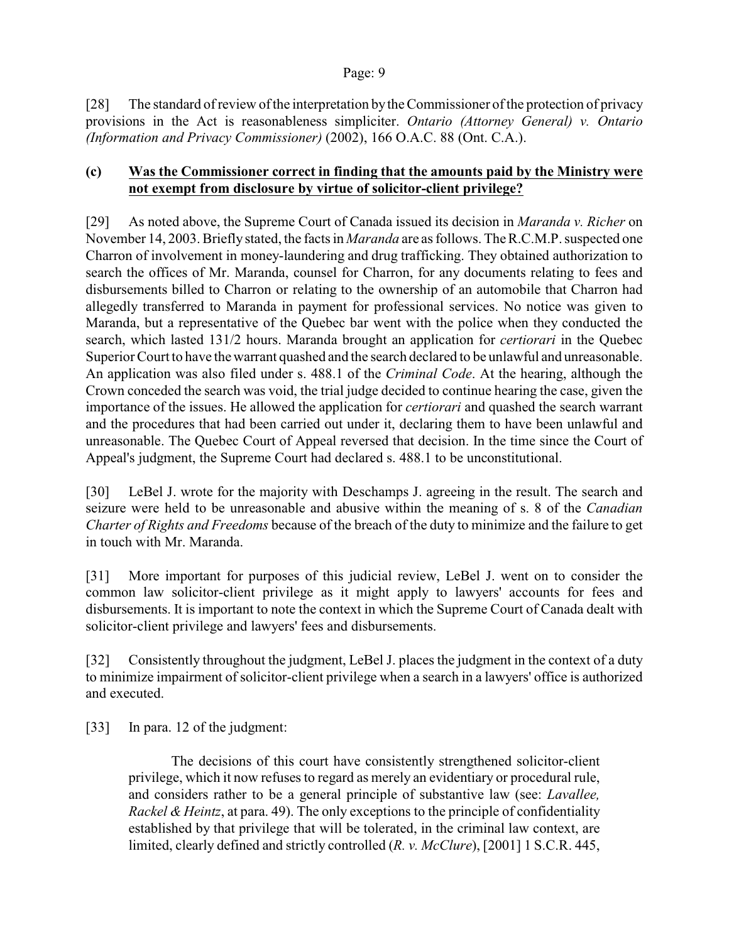[28] The standard of review ofthe interpretation bythe Commissioner of the protection of privacy provisions in the Act is reasonableness simpliciter. *Ontario (Attorney General) v. Ontario (Information and Privacy Commissioner)* (2002), 166 O.A.C. 88 (Ont. C.A.).

## **(c) Was the Commissioner correct in finding that the amounts paid by the Ministry were not exempt from disclosure by virtue of solicitor-client privilege?**

[29] As noted above, the Supreme Court of Canada issued its decision in *Maranda v. Richer* on November 14, 2003. Briefly stated, the facts in *Maranda* are as follows. The R.C.M.P. suspected one Charron of involvement in money-laundering and drug trafficking. They obtained authorization to search the offices of Mr. Maranda, counsel for Charron, for any documents relating to fees and disbursements billed to Charron or relating to the ownership of an automobile that Charron had allegedly transferred to Maranda in payment for professional services. No notice was given to Maranda, but a representative of the Quebec bar went with the police when they conducted the search, which lasted 131/2 hours. Maranda brought an application for *certiorari* in the Quebec Superior Court to have the warrant quashed and the search declared to be unlawful and unreasonable. An application was also filed under s. 488.1 of the *Criminal Code*. At the hearing, although the Crown conceded the search was void, the trial judge decided to continue hearing the case, given the importance of the issues. He allowed the application for *certiorari* and quashed the search warrant and the procedures that had been carried out under it, declaring them to have been unlawful and unreasonable. The Quebec Court of Appeal reversed that decision. In the time since the Court of Appeal's judgment, the Supreme Court had declared s. 488.1 to be unconstitutional.

[30] LeBel J. wrote for the majority with Deschamps J. agreeing in the result. The search and seizure were held to be unreasonable and abusive within the meaning of s. 8 of the *Canadian Charter of Rights and Freedoms* because of the breach of the duty to minimize and the failure to get in touch with Mr. Maranda.

[31] More important for purposes of this judicial review, LeBel J. went on to consider the common law solicitor-client privilege as it might apply to lawyers' accounts for fees and disbursements. It is important to note the context in which the Supreme Court of Canada dealt with solicitor-client privilege and lawyers' fees and disbursements.

[32] Consistently throughout the judgment, LeBel J. places the judgment in the context of a duty to minimize impairment of solicitor-client privilege when a search in a lawyers' office is authorized and executed.

[33] In para. 12 of the judgment:

The decisions of this court have consistently strengthened solicitor-client privilege, which it now refuses to regard as merely an evidentiary or procedural rule, and considers rather to be a general principle of substantive law (see: *Lavallee, Rackel & Heintz*, at para. 49). The only exceptions to the principle of confidentiality established by that privilege that will be tolerated, in the criminal law context, are limited, clearly defined and strictly controlled (*R. v. McClure*), [2001] 1 S.C.R. 445,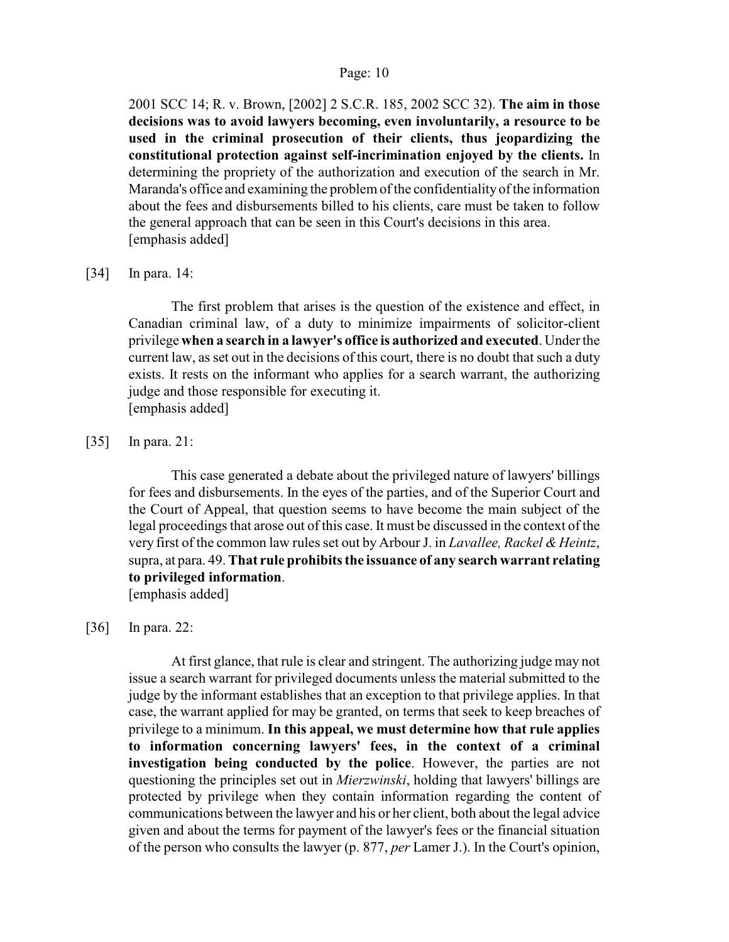2001 SCC 14; R. v. Brown, [2002] 2 S.C.R. 185, 2002 SCC 32). **The aim in those decisions was to avoid lawyers becoming, even involuntarily, a resource to be used in the criminal prosecution of their clients, thus jeopardizing the constitutional protection against self-incrimination enjoyed by the clients.** In determining the propriety of the authorization and execution of the search in Mr. Maranda's office and examining the problem of the confidentiality of the information about the fees and disbursements billed to his clients, care must be taken to follow the general approach that can be seen in this Court's decisions in this area. [emphasis added]

[34] In para. 14:

The first problem that arises is the question of the existence and effect, in Canadian criminal law, of a duty to minimize impairments of solicitor-client privilege **when a search in a lawyer's office is authorized and executed**. Under the current law, as set out in the decisions of this court, there is no doubt that such a duty exists. It rests on the informant who applies for a search warrant, the authorizing judge and those responsible for executing it. [emphasis added]

[35] In para. 21:

This case generated a debate about the privileged nature of lawyers' billings for fees and disbursements. In the eyes of the parties, and of the Superior Court and the Court of Appeal, that question seems to have become the main subject of the legal proceedings that arose out of this case. It must be discussed in the context of the very first of the common law rules set out by Arbour J. in *Lavallee, Rackel & Heintz*, supra, at para. 49. **That rule prohibits the issuance of any search warrant relating to privileged information**.

[emphasis added]

#### [36] In para. 22:

At first glance, that rule is clear and stringent. The authorizing judge may not issue a search warrant for privileged documents unless the material submitted to the judge by the informant establishes that an exception to that privilege applies. In that case, the warrant applied for may be granted, on terms that seek to keep breaches of privilege to a minimum. **In this appeal, we must determine how that rule applies to information concerning lawyers' fees, in the context of a criminal investigation being conducted by the police**. However, the parties are not questioning the principles set out in *Mierzwinski*, holding that lawyers' billings are protected by privilege when they contain information regarding the content of communications between the lawyer and his or her client, both about the legal advice given and about the terms for payment of the lawyer's fees or the financial situation of the person who consults the lawyer (p. 877, *per* Lamer J.). In the Court's opinion,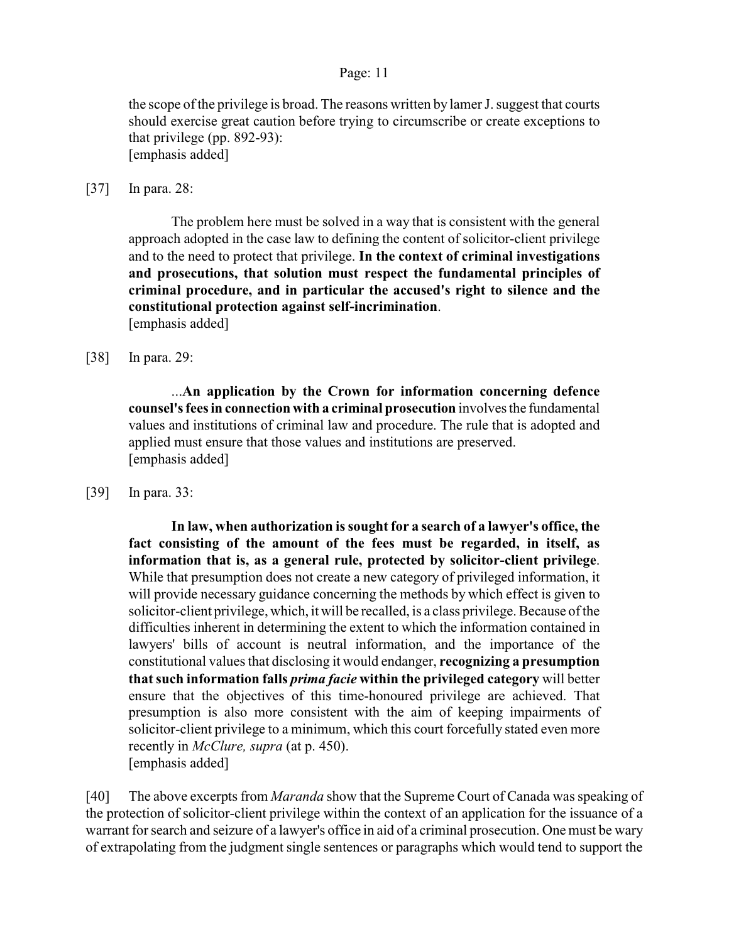the scope of the privilege is broad. The reasons written by lamer J. suggest that courts should exercise great caution before trying to circumscribe or create exceptions to that privilege (pp. 892-93): [emphasis added]

[37] In para. 28:

The problem here must be solved in a way that is consistent with the general approach adopted in the case law to defining the content of solicitor-client privilege and to the need to protect that privilege. **In the context of criminal investigations and prosecutions, that solution must respect the fundamental principles of criminal procedure, and in particular the accused's right to silence and the constitutional protection against self-incrimination**. [emphasis added]

[38] In para. 29:

...**An application by the Crown for information concerning defence counsel's fees in connection with a criminal prosecution** involves the fundamental values and institutions of criminal law and procedure. The rule that is adopted and applied must ensure that those values and institutions are preserved. [emphasis added]

[39] In para, 33:

**In law, when authorization is sought for a search of a lawyer's office, the fact consisting of the amount of the fees must be regarded, in itself, as information that is, as a general rule, protected by solicitor-client privilege**. While that presumption does not create a new category of privileged information, it will provide necessary guidance concerning the methods by which effect is given to solicitor-client privilege, which, it will be recalled, is a class privilege. Because of the difficulties inherent in determining the extent to which the information contained in lawyers' bills of account is neutral information, and the importance of the constitutional values that disclosing it would endanger, **recognizing a presumption thatsuch information falls** *prima facie* **within the privileged category** will better ensure that the objectives of this time-honoured privilege are achieved. That presumption is also more consistent with the aim of keeping impairments of solicitor-client privilege to a minimum, which this court forcefully stated even more recently in *McClure, supra* (at p. 450). [emphasis added]

[40] The above excerpts from *Maranda* show that the Supreme Court of Canada was speaking of the protection of solicitor-client privilege within the context of an application for the issuance of a warrant for search and seizure of a lawyer's office in aid of a criminal prosecution. One must be wary of extrapolating from the judgment single sentences or paragraphs which would tend to support the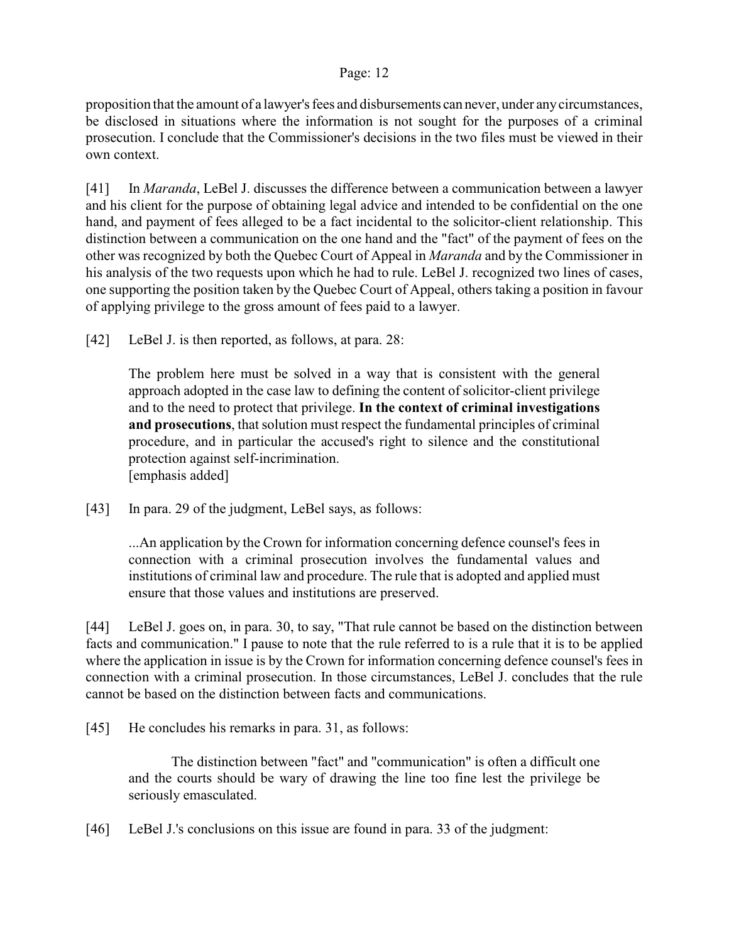proposition that the amount of a lawyer's fees and disbursements can never, under any circumstances, be disclosed in situations where the information is not sought for the purposes of a criminal prosecution. I conclude that the Commissioner's decisions in the two files must be viewed in their own context.

[41] In *Maranda*, LeBel J. discusses the difference between a communication between a lawyer and his client for the purpose of obtaining legal advice and intended to be confidential on the one hand, and payment of fees alleged to be a fact incidental to the solicitor-client relationship. This distinction between a communication on the one hand and the "fact" of the payment of fees on the other was recognized by both the Quebec Court of Appeal in *Maranda* and by the Commissioner in his analysis of the two requests upon which he had to rule. LeBel J. recognized two lines of cases, one supporting the position taken by the Quebec Court of Appeal, others taking a position in favour of applying privilege to the gross amount of fees paid to a lawyer.

[42] LeBel J. is then reported, as follows, at para. 28:

The problem here must be solved in a way that is consistent with the general approach adopted in the case law to defining the content of solicitor-client privilege and to the need to protect that privilege. **In the context of criminal investigations and prosecutions**, that solution must respect the fundamental principles of criminal procedure, and in particular the accused's right to silence and the constitutional protection against self-incrimination. [emphasis added]

[43] In para. 29 of the judgment, LeBel says, as follows:

...An application by the Crown for information concerning defence counsel's fees in connection with a criminal prosecution involves the fundamental values and institutions of criminal law and procedure. The rule that is adopted and applied must ensure that those values and institutions are preserved.

[44] LeBel J. goes on, in para. 30, to say, "That rule cannot be based on the distinction between facts and communication." I pause to note that the rule referred to is a rule that it is to be applied where the application in issue is by the Crown for information concerning defence counsel's fees in connection with a criminal prosecution. In those circumstances, LeBel J. concludes that the rule cannot be based on the distinction between facts and communications.

[45] He concludes his remarks in para. 31, as follows:

The distinction between "fact" and "communication" is often a difficult one and the courts should be wary of drawing the line too fine lest the privilege be seriously emasculated.

[46] LeBel J.'s conclusions on this issue are found in para. 33 of the judgment: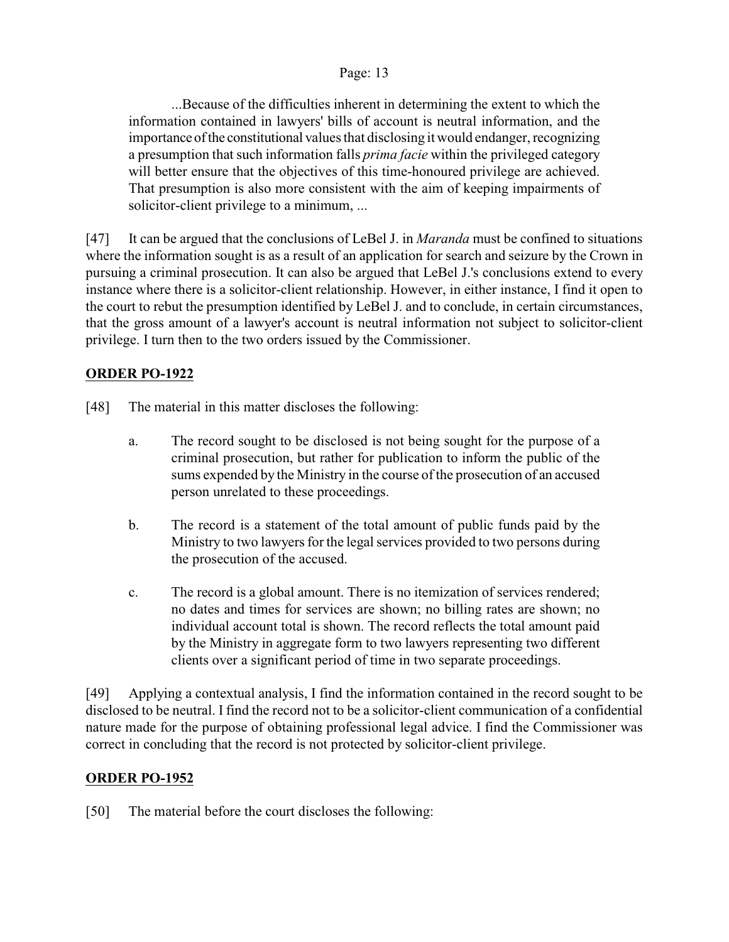...Because of the difficulties inherent in determining the extent to which the information contained in lawyers' bills of account is neutral information, and the importance of the constitutional values that disclosing it would endanger, recognizing a presumption that such information falls *prima facie* within the privileged category will better ensure that the objectives of this time-honoured privilege are achieved. That presumption is also more consistent with the aim of keeping impairments of solicitor-client privilege to a minimum, ...

[47] It can be argued that the conclusions of LeBel J. in *Maranda* must be confined to situations where the information sought is as a result of an application for search and seizure by the Crown in pursuing a criminal prosecution. It can also be argued that LeBel J.'s conclusions extend to every instance where there is a solicitor-client relationship. However, in either instance, I find it open to the court to rebut the presumption identified by LeBel J. and to conclude, in certain circumstances, that the gross amount of a lawyer's account is neutral information not subject to solicitor-client privilege. I turn then to the two orders issued by the Commissioner.

## **ORDER PO-1922**

- [48] The material in this matter discloses the following:
	- a. The record sought to be disclosed is not being sought for the purpose of a criminal prosecution, but rather for publication to inform the public of the sums expended by the Ministry in the course of the prosecution of an accused person unrelated to these proceedings.
	- b. The record is a statement of the total amount of public funds paid by the Ministry to two lawyers for the legal services provided to two persons during the prosecution of the accused.
	- c. The record is a global amount. There is no itemization of services rendered; no dates and times for services are shown; no billing rates are shown; no individual account total is shown. The record reflects the total amount paid by the Ministry in aggregate form to two lawyers representing two different clients over a significant period of time in two separate proceedings.

[49] Applying a contextual analysis, I find the information contained in the record sought to be disclosed to be neutral. I find the record not to be a solicitor-client communication of a confidential nature made for the purpose of obtaining professional legal advice. I find the Commissioner was correct in concluding that the record is not protected by solicitor-client privilege.

## **ORDER PO-1952**

[50] The material before the court discloses the following: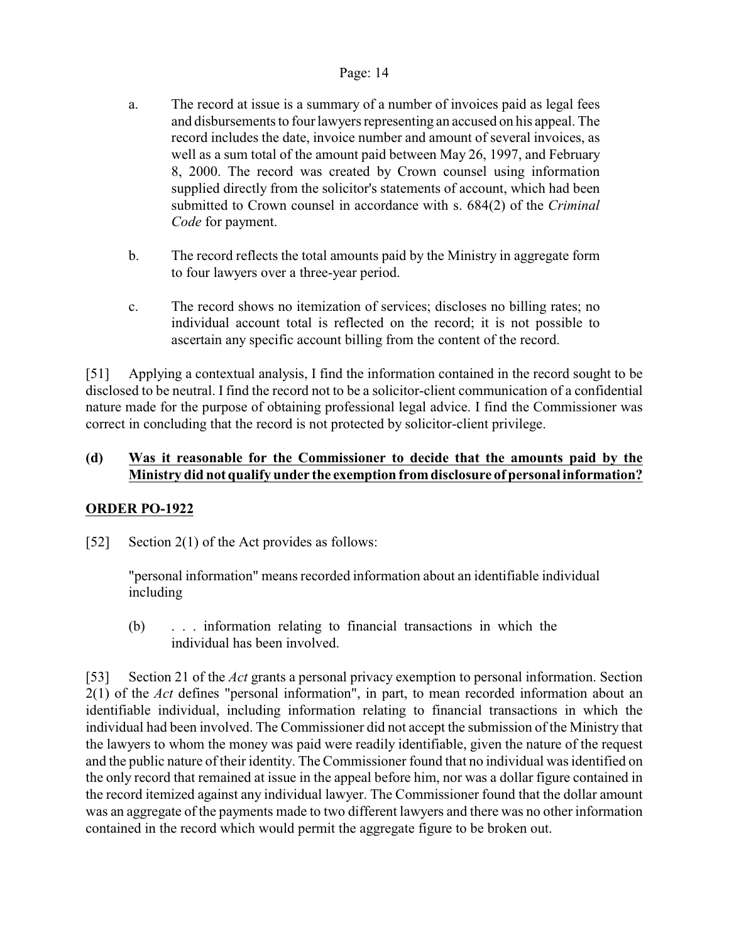- a. The record at issue is a summary of a number of invoices paid as legal fees and disbursements to four lawyers representing an accused on his appeal. The record includes the date, invoice number and amount of several invoices, as well as a sum total of the amount paid between May 26, 1997, and February 8, 2000. The record was created by Crown counsel using information supplied directly from the solicitor's statements of account, which had been submitted to Crown counsel in accordance with s. 684(2) of the *Criminal Code* for payment.
- b. The record reflects the total amounts paid by the Ministry in aggregate form to four lawyers over a three-year period.
- c. The record shows no itemization of services; discloses no billing rates; no individual account total is reflected on the record; it is not possible to ascertain any specific account billing from the content of the record.

[51] Applying a contextual analysis, I find the information contained in the record sought to be disclosed to be neutral. I find the record not to be a solicitor-client communication of a confidential nature made for the purpose of obtaining professional legal advice. I find the Commissioner was correct in concluding that the record is not protected by solicitor-client privilege.

## **(d) Was it reasonable for the Commissioner to decide that the amounts paid by the Ministry did not qualify under the exemption from disclosure of personal information?**

# **ORDER PO-1922**

[52] Section 2(1) of the Act provides as follows:

"personal information" means recorded information about an identifiable individual including

(b) . . . information relating to financial transactions in which the individual has been involved.

[53] Section 21 of the *Act* grants a personal privacy exemption to personal information. Section 2(1) of the *Act* defines "personal information", in part, to mean recorded information about an identifiable individual, including information relating to financial transactions in which the individual had been involved. The Commissioner did not accept the submission of the Ministry that the lawyers to whom the money was paid were readily identifiable, given the nature of the request and the public nature of their identity. The Commissioner found that no individual was identified on the only record that remained at issue in the appeal before him, nor was a dollar figure contained in the record itemized against any individual lawyer. The Commissioner found that the dollar amount was an aggregate of the payments made to two different lawyers and there was no other information contained in the record which would permit the aggregate figure to be broken out.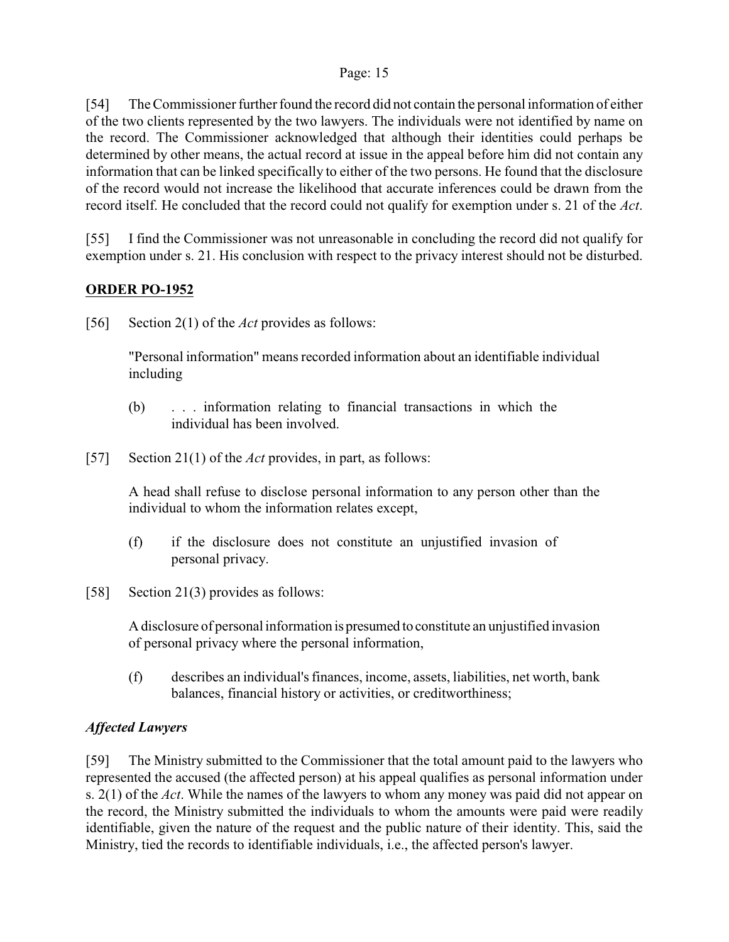[54] The Commissioner further found the record did not contain the personal information of either of the two clients represented by the two lawyers. The individuals were not identified by name on the record. The Commissioner acknowledged that although their identities could perhaps be determined by other means, the actual record at issue in the appeal before him did not contain any information that can be linked specifically to either of the two persons. He found that the disclosure of the record would not increase the likelihood that accurate inferences could be drawn from the record itself. He concluded that the record could not qualify for exemption under s. 21 of the *Act*.

[55] I find the Commissioner was not unreasonable in concluding the record did not qualify for exemption under s. 21. His conclusion with respect to the privacy interest should not be disturbed.

## **ORDER PO-1952**

[56] Section 2(1) of the *Act* provides as follows:

"Personal information" means recorded information about an identifiable individual including

- (b) . . . information relating to financial transactions in which the individual has been involved.
- [57] Section 21(1) of the *Act* provides, in part, as follows:

A head shall refuse to disclose personal information to any person other than the individual to whom the information relates except,

- (f) if the disclosure does not constitute an unjustified invasion of personal privacy.
- [58] Section 21(3) provides as follows:

A disclosure of personal information is presumed to constitute an unjustified invasion of personal privacy where the personal information,

(f) describes an individual's finances, income, assets, liabilities, net worth, bank balances, financial history or activities, or creditworthiness;

# *Affected Lawyers*

[59] The Ministry submitted to the Commissioner that the total amount paid to the lawyers who represented the accused (the affected person) at his appeal qualifies as personal information under s. 2(1) of the *Act*. While the names of the lawyers to whom any money was paid did not appear on the record, the Ministry submitted the individuals to whom the amounts were paid were readily identifiable, given the nature of the request and the public nature of their identity. This, said the Ministry, tied the records to identifiable individuals, i.e., the affected person's lawyer.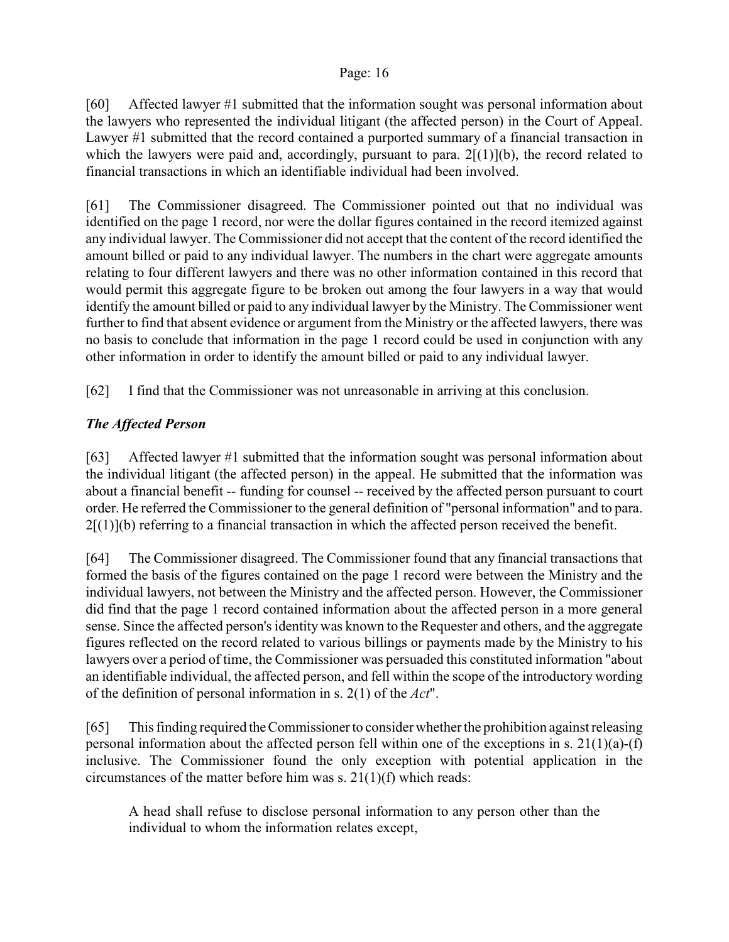[60] Affected lawyer #1 submitted that the information sought was personal information about the lawyers who represented the individual litigant (the affected person) in the Court of Appeal. Lawyer #1 submitted that the record contained a purported summary of a financial transaction in which the lawyers were paid and, accordingly, pursuant to para.  $2[(1)](b)$ , the record related to financial transactions in which an identifiable individual had been involved.

[61] The Commissioner disagreed. The Commissioner pointed out that no individual was identified on the page 1 record, nor were the dollar figures contained in the record itemized against any individual lawyer. The Commissioner did not accept that the content of the record identified the amount billed or paid to any individual lawyer. The numbers in the chart were aggregate amounts relating to four different lawyers and there was no other information contained in this record that would permit this aggregate figure to be broken out among the four lawyers in a way that would identify the amount billed or paid to any individual lawyer by the Ministry. The Commissioner went further to find that absent evidence or argument from the Ministry or the affected lawyers, there was no basis to conclude that information in the page 1 record could be used in conjunction with any other information in order to identify the amount billed or paid to any individual lawyer.

[62] I find that the Commissioner was not unreasonable in arriving at this conclusion.

# *The Affected Person*

[63] Affected lawyer #1 submitted that the information sought was personal information about the individual litigant (the affected person) in the appeal. He submitted that the information was about a financial benefit -- funding for counsel -- received by the affected person pursuant to court order. He referred the Commissioner to the general definition of "personal information" and to para.  $2[(1)]$ (b) referring to a financial transaction in which the affected person received the benefit.

[64] The Commissioner disagreed. The Commissioner found that any financial transactions that formed the basis of the figures contained on the page 1 record were between the Ministry and the individual lawyers, not between the Ministry and the affected person. However, the Commissioner did find that the page 1 record contained information about the affected person in a more general sense. Since the affected person's identity was known to the Requester and others, and the aggregate figures reflected on the record related to various billings or payments made by the Ministry to his lawyers over a period of time, the Commissioner was persuaded this constituted information "about an identifiable individual, the affected person, and fell within the scope of the introductory wording of the definition of personal information in s. 2(1) of the *Act*".

[65] This finding required the Commissioner to consider whether the prohibition against releasing personal information about the affected person fell within one of the exceptions in s. 21(1)(a)-(f) inclusive. The Commissioner found the only exception with potential application in the circumstances of the matter before him was s. 21(1)(f) which reads:

A head shall refuse to disclose personal information to any person other than the individual to whom the information relates except,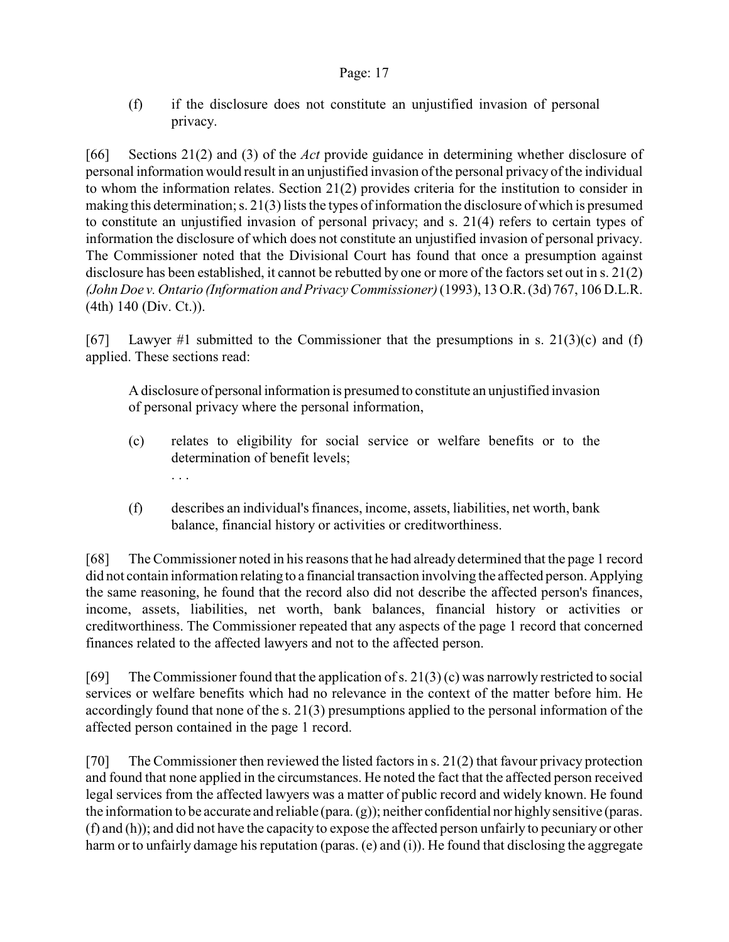(f) if the disclosure does not constitute an unjustified invasion of personal privacy.

[66] Sections 21(2) and (3) of the *Act* provide guidance in determining whether disclosure of personal information would result in an unjustified invasion ofthe personal privacy of the individual to whom the information relates. Section 21(2) provides criteria for the institution to consider in making this determination; s. 21(3) lists the types of information the disclosure of which is presumed to constitute an unjustified invasion of personal privacy; and s. 21(4) refers to certain types of information the disclosure of which does not constitute an unjustified invasion of personal privacy. The Commissioner noted that the Divisional Court has found that once a presumption against disclosure has been established, it cannot be rebutted by one or more of the factors set out in s. 21(2) *(John Doe v. Ontario (Information and Privacy Commissioner)* (1993), 13 O.R. (3d) 767, 106 D.L.R. (4th) 140 (Div. Ct.)).

[67] Lawyer #1 submitted to the Commissioner that the presumptions in s. 21(3)(c) and (f) applied. These sections read:

A disclosure of personal information is presumed to constitute an unjustified invasion of personal privacy where the personal information,

(c) relates to eligibility for social service or welfare benefits or to the determination of benefit levels;

. . .

(f) describes an individual's finances, income, assets, liabilities, net worth, bank balance, financial history or activities or creditworthiness.

[68] The Commissioner noted in his reasons that he had already determined that the page 1 record did not contain information relating to a financial transaction involving the affected person. Applying the same reasoning, he found that the record also did not describe the affected person's finances, income, assets, liabilities, net worth, bank balances, financial history or activities or creditworthiness. The Commissioner repeated that any aspects of the page 1 record that concerned finances related to the affected lawyers and not to the affected person.

[69] The Commissioner found that the application of s. 21(3) (c) was narrowly restricted to social services or welfare benefits which had no relevance in the context of the matter before him. He accordingly found that none of the s. 21(3) presumptions applied to the personal information of the affected person contained in the page 1 record.

[70] The Commissioner then reviewed the listed factors in s. 21(2) that favour privacy protection and found that none applied in the circumstances. He noted the fact that the affected person received legal services from the affected lawyers was a matter of public record and widely known. He found the information to be accurate and reliable (para. (g)); neither confidential nor highly sensitive (paras. (f) and (h)); and did not have the capacity to expose the affected person unfairly to pecuniary or other harm or to unfairly damage his reputation (paras. (e) and (i)). He found that disclosing the aggregate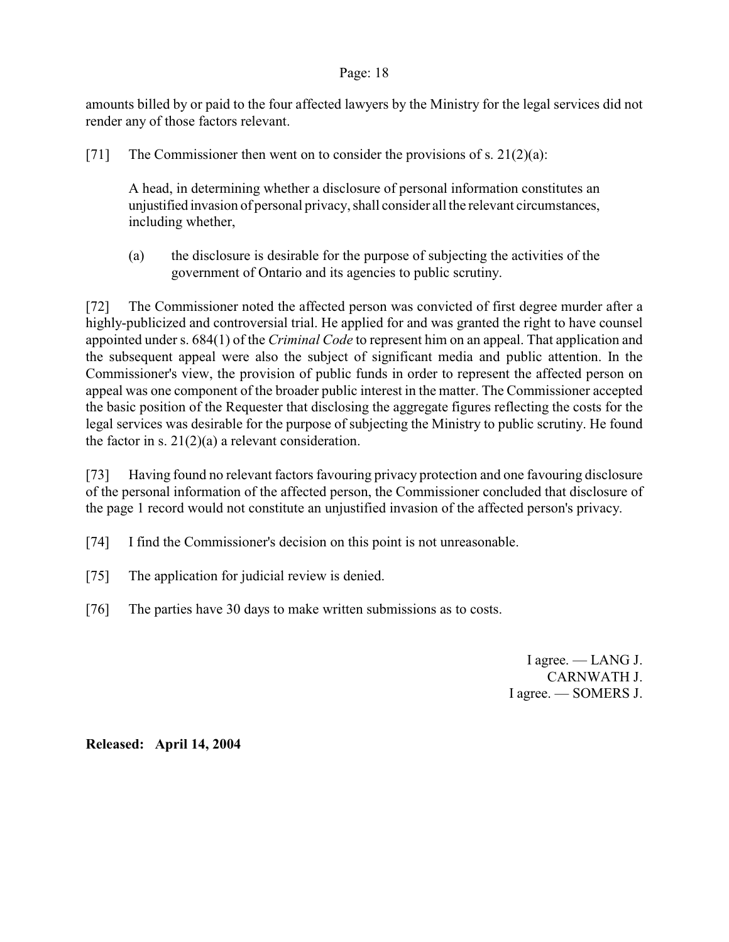amounts billed by or paid to the four affected lawyers by the Ministry for the legal services did not render any of those factors relevant.

[71] The Commissioner then went on to consider the provisions of s.  $21(2)(a)$ :

A head, in determining whether a disclosure of personal information constitutes an unjustified invasion of personal privacy, shall consider all the relevant circumstances, including whether,

(a) the disclosure is desirable for the purpose of subjecting the activities of the government of Ontario and its agencies to public scrutiny.

[72] The Commissioner noted the affected person was convicted of first degree murder after a highly-publicized and controversial trial. He applied for and was granted the right to have counsel appointed under s. 684(1) of the *Criminal Code* to represent him on an appeal. That application and the subsequent appeal were also the subject of significant media and public attention. In the Commissioner's view, the provision of public funds in order to represent the affected person on appeal was one component of the broader public interest in the matter. The Commissioner accepted the basic position of the Requester that disclosing the aggregate figures reflecting the costs for the legal services was desirable for the purpose of subjecting the Ministry to public scrutiny. He found the factor in s.  $21(2)(a)$  a relevant consideration.

[73] Having found no relevant factors favouring privacy protection and one favouring disclosure of the personal information of the affected person, the Commissioner concluded that disclosure of the page 1 record would not constitute an unjustified invasion of the affected person's privacy.

[74] I find the Commissioner's decision on this point is not unreasonable.

- [75] The application for judicial review is denied.
- [76] The parties have 30 days to make written submissions as to costs.

I agree. — LANG J. CARNWATH J. I agree. — SOMERS J.

**Released: April 14, 2004**